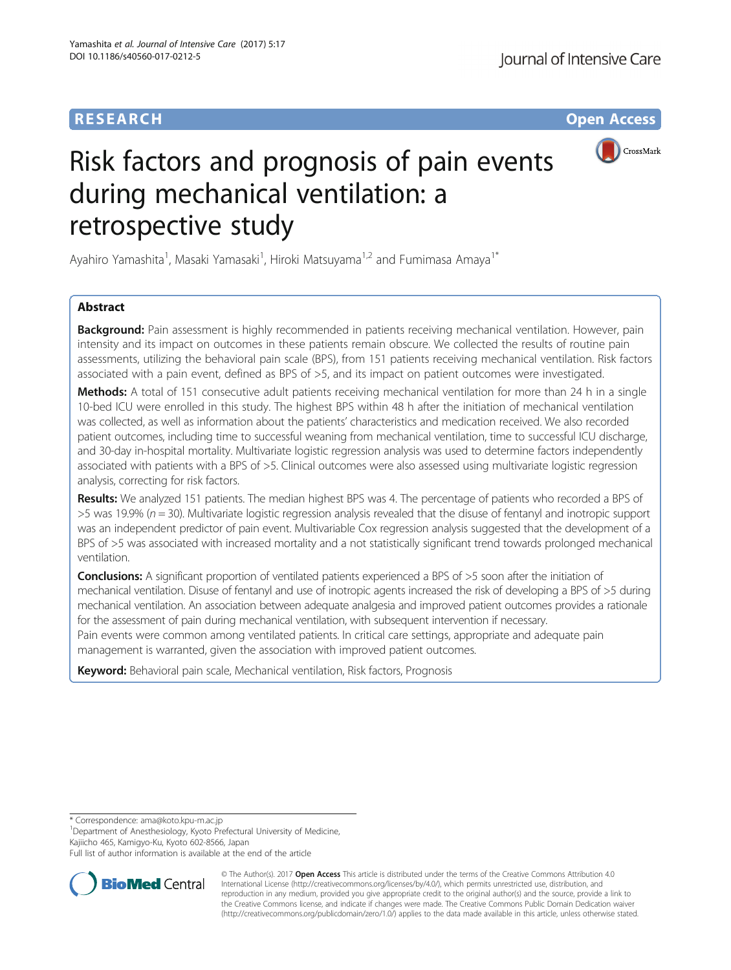# **RESEARCH CHE Open Access**



# Risk factors and prognosis of pain events during mechanical ventilation: a retrospective study

Ayahiro Yamashita<sup>1</sup>, Masaki Yamasaki<sup>1</sup>, Hiroki Matsuyama<sup>1,2</sup> and Fumimasa Amaya<sup>1\*</sup>

# Abstract

Background: Pain assessment is highly recommended in patients receiving mechanical ventilation. However, pain intensity and its impact on outcomes in these patients remain obscure. We collected the results of routine pain assessments, utilizing the behavioral pain scale (BPS), from 151 patients receiving mechanical ventilation. Risk factors associated with a pain event, defined as BPS of >5, and its impact on patient outcomes were investigated.

Methods: A total of 151 consecutive adult patients receiving mechanical ventilation for more than 24 h in a single 10-bed ICU were enrolled in this study. The highest BPS within 48 h after the initiation of mechanical ventilation was collected, as well as information about the patients' characteristics and medication received. We also recorded patient outcomes, including time to successful weaning from mechanical ventilation, time to successful ICU discharge, and 30-day in-hospital mortality. Multivariate logistic regression analysis was used to determine factors independently associated with patients with a BPS of >5. Clinical outcomes were also assessed using multivariate logistic regression analysis, correcting for risk factors.

Results: We analyzed 151 patients. The median highest BPS was 4. The percentage of patients who recorded a BPS of  $>5$  was 19.9% ( $n = 30$ ). Multivariate logistic regression analysis revealed that the disuse of fentanyl and inotropic support was an independent predictor of pain event. Multivariable Cox regression analysis suggested that the development of a BPS of >5 was associated with increased mortality and a not statistically significant trend towards prolonged mechanical ventilation.

Conclusions: A significant proportion of ventilated patients experienced a BPS of >5 soon after the initiation of mechanical ventilation. Disuse of fentanyl and use of inotropic agents increased the risk of developing a BPS of >5 during mechanical ventilation. An association between adequate analgesia and improved patient outcomes provides a rationale for the assessment of pain during mechanical ventilation, with subsequent intervention if necessary. Pain events were common among ventilated patients. In critical care settings, appropriate and adequate pain

management is warranted, given the association with improved patient outcomes.

Keyword: Behavioral pain scale, Mechanical ventilation, Risk factors, Prognosis

\* Correspondence: [ama@koto.kpu-m.ac.jp](mailto:ama@koto.kpu-m.ac.jp) <sup>1</sup>

<sup>1</sup>Department of Anesthesiology, Kyoto Prefectural University of Medicine, Kajiicho 465, Kamigyo-Ku, Kyoto 602-8566, Japan

Full list of author information is available at the end of the article



© The Author(s). 2017 **Open Access** This article is distributed under the terms of the Creative Commons Attribution 4.0 International License [\(http://creativecommons.org/licenses/by/4.0/](http://creativecommons.org/licenses/by/4.0/)), which permits unrestricted use, distribution, and reproduction in any medium, provided you give appropriate credit to the original author(s) and the source, provide a link to the Creative Commons license, and indicate if changes were made. The Creative Commons Public Domain Dedication waiver [\(http://creativecommons.org/publicdomain/zero/1.0/](http://creativecommons.org/publicdomain/zero/1.0/)) applies to the data made available in this article, unless otherwise stated.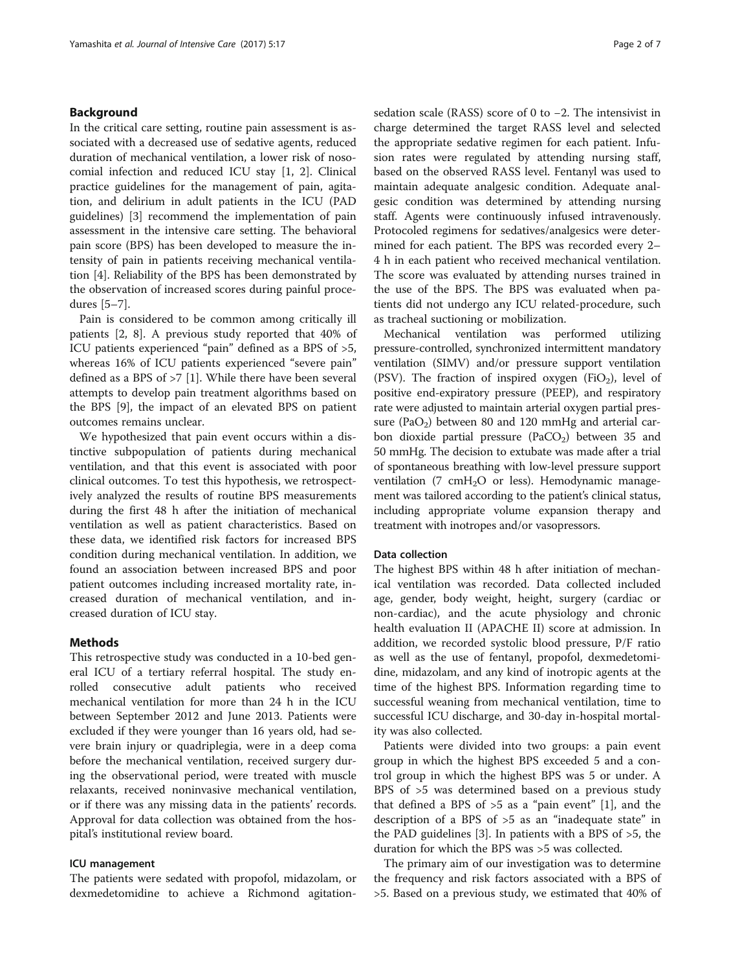# Background

In the critical care setting, routine pain assessment is associated with a decreased use of sedative agents, reduced duration of mechanical ventilation, a lower risk of nosocomial infection and reduced ICU stay [[1](#page-5-0), [2](#page-5-0)]. Clinical practice guidelines for the management of pain, agitation, and delirium in adult patients in the ICU (PAD guidelines) [\[3](#page-5-0)] recommend the implementation of pain assessment in the intensive care setting. The behavioral pain score (BPS) has been developed to measure the intensity of pain in patients receiving mechanical ventilation [\[4](#page-5-0)]. Reliability of the BPS has been demonstrated by the observation of increased scores during painful procedures [\[5](#page-5-0)–[7\]](#page-5-0).

Pain is considered to be common among critically ill patients [[2, 8](#page-5-0)]. A previous study reported that 40% of ICU patients experienced "pain" defined as a BPS of >5, whereas 16% of ICU patients experienced "severe pain" defined as a BPS of >7 [\[1](#page-5-0)]. While there have been several attempts to develop pain treatment algorithms based on the BPS [[9\]](#page-5-0), the impact of an elevated BPS on patient outcomes remains unclear.

We hypothesized that pain event occurs within a distinctive subpopulation of patients during mechanical ventilation, and that this event is associated with poor clinical outcomes. To test this hypothesis, we retrospectively analyzed the results of routine BPS measurements during the first 48 h after the initiation of mechanical ventilation as well as patient characteristics. Based on these data, we identified risk factors for increased BPS condition during mechanical ventilation. In addition, we found an association between increased BPS and poor patient outcomes including increased mortality rate, increased duration of mechanical ventilation, and increased duration of ICU stay.

#### Methods

This retrospective study was conducted in a 10-bed general ICU of a tertiary referral hospital. The study enrolled consecutive adult patients who received mechanical ventilation for more than 24 h in the ICU between September 2012 and June 2013. Patients were excluded if they were younger than 16 years old, had severe brain injury or quadriplegia, were in a deep coma before the mechanical ventilation, received surgery during the observational period, were treated with muscle relaxants, received noninvasive mechanical ventilation, or if there was any missing data in the patients' records. Approval for data collection was obtained from the hospital's institutional review board.

#### ICU management

The patients were sedated with propofol, midazolam, or dexmedetomidine to achieve a Richmond agitationsedation scale (RASS) score of 0 to −2. The intensivist in charge determined the target RASS level and selected the appropriate sedative regimen for each patient. Infusion rates were regulated by attending nursing staff, based on the observed RASS level. Fentanyl was used to maintain adequate analgesic condition. Adequate analgesic condition was determined by attending nursing staff. Agents were continuously infused intravenously. Protocoled regimens for sedatives/analgesics were determined for each patient. The BPS was recorded every 2– 4 h in each patient who received mechanical ventilation. The score was evaluated by attending nurses trained in the use of the BPS. The BPS was evaluated when patients did not undergo any ICU related-procedure, such as tracheal suctioning or mobilization.

Mechanical ventilation was performed utilizing pressure-controlled, synchronized intermittent mandatory ventilation (SIMV) and/or pressure support ventilation (PSV). The fraction of inspired oxygen (FiO<sub>2</sub>), level of positive end-expiratory pressure (PEEP), and respiratory rate were adjusted to maintain arterial oxygen partial pressure (PaO<sub>2</sub>) between 80 and 120 mmHg and arterial carbon dioxide partial pressure (PaCO<sub>2</sub>) between 35 and 50 mmHg. The decision to extubate was made after a trial of spontaneous breathing with low-level pressure support ventilation (7 cmH<sub>2</sub>O or less). Hemodynamic management was tailored according to the patient's clinical status, including appropriate volume expansion therapy and treatment with inotropes and/or vasopressors.

### Data collection

The highest BPS within 48 h after initiation of mechanical ventilation was recorded. Data collected included age, gender, body weight, height, surgery (cardiac or non-cardiac), and the acute physiology and chronic health evaluation II (APACHE II) score at admission. In addition, we recorded systolic blood pressure, P/F ratio as well as the use of fentanyl, propofol, dexmedetomidine, midazolam, and any kind of inotropic agents at the time of the highest BPS. Information regarding time to successful weaning from mechanical ventilation, time to successful ICU discharge, and 30-day in-hospital mortality was also collected.

Patients were divided into two groups: a pain event group in which the highest BPS exceeded 5 and a control group in which the highest BPS was 5 or under. A BPS of >5 was determined based on a previous study that defined a BPS of  $>5$  as a "pain event" [\[1](#page-5-0)], and the description of a BPS of >5 as an "inadequate state" in the PAD guidelines [\[3](#page-5-0)]. In patients with a BPS of >5, the duration for which the BPS was >5 was collected.

The primary aim of our investigation was to determine the frequency and risk factors associated with a BPS of >5. Based on a previous study, we estimated that 40% of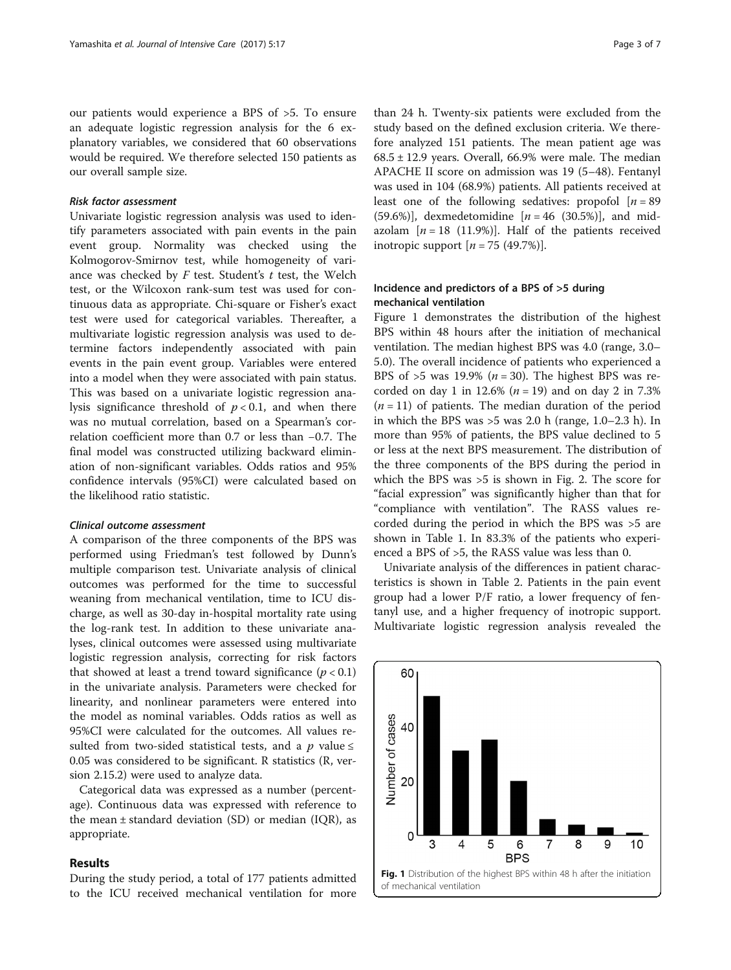our patients would experience a BPS of >5. To ensure an adequate logistic regression analysis for the 6 explanatory variables, we considered that 60 observations would be required. We therefore selected 150 patients as our overall sample size.

## Risk factor assessment

Univariate logistic regression analysis was used to identify parameters associated with pain events in the pain event group. Normality was checked using the Kolmogorov-Smirnov test, while homogeneity of variance was checked by  $F$  test. Student's  $t$  test, the Welch test, or the Wilcoxon rank-sum test was used for continuous data as appropriate. Chi-square or Fisher's exact test were used for categorical variables. Thereafter, a multivariate logistic regression analysis was used to determine factors independently associated with pain events in the pain event group. Variables were entered into a model when they were associated with pain status. This was based on a univariate logistic regression analysis significance threshold of  $p < 0.1$ , and when there was no mutual correlation, based on a Spearman's correlation coefficient more than 0.7 or less than −0.7. The final model was constructed utilizing backward elimination of non-significant variables. Odds ratios and 95% confidence intervals (95%CI) were calculated based on the likelihood ratio statistic.

#### Clinical outcome assessment

A comparison of the three components of the BPS was performed using Friedman's test followed by Dunn's multiple comparison test. Univariate analysis of clinical outcomes was performed for the time to successful weaning from mechanical ventilation, time to ICU discharge, as well as 30-day in-hospital mortality rate using the log-rank test. In addition to these univariate analyses, clinical outcomes were assessed using multivariate logistic regression analysis, correcting for risk factors that showed at least a trend toward significance  $(p < 0.1)$ in the univariate analysis. Parameters were checked for linearity, and nonlinear parameters were entered into the model as nominal variables. Odds ratios as well as 95%CI were calculated for the outcomes. All values resulted from two-sided statistical tests, and a p value  $\leq$ 0.05 was considered to be significant. R statistics (R, version 2.15.2) were used to analyze data.

Categorical data was expressed as a number (percentage). Continuous data was expressed with reference to the mean  $\pm$  standard deviation (SD) or median (IQR), as appropriate.

# Results

During the study period, a total of 177 patients admitted to the ICU received mechanical ventilation for more

than 24 h. Twenty-six patients were excluded from the study based on the defined exclusion criteria. We therefore analyzed 151 patients. The mean patient age was  $68.5 \pm 12.9$  years. Overall, 66.9% were male. The median APACHE II score on admission was 19 (5–48). Fentanyl was used in 104 (68.9%) patients. All patients received at least one of the following sedatives: propofol  $[n = 89]$ (59.6%)], dexmedetomidine  $[n = 46 (30.5\%)]$ , and midazolam  $[n = 18 (11.9\%)]$ . Half of the patients received inotropic support  $[n = 75 (49.7\%)]$ .

# Incidence and predictors of a BPS of >5 during mechanical ventilation

Figure 1 demonstrates the distribution of the highest BPS within 48 hours after the initiation of mechanical ventilation. The median highest BPS was 4.0 (range, 3.0– 5.0). The overall incidence of patients who experienced a BPS of  $>5$  was 19.9% ( $n = 30$ ). The highest BPS was recorded on day 1 in 12.6% ( $n = 19$ ) and on day 2 in 7.3%  $(n = 11)$  of patients. The median duration of the period in which the BPS was  $>5$  was 2.0 h (range, 1.0–2.3 h). In more than 95% of patients, the BPS value declined to 5 or less at the next BPS measurement. The distribution of the three components of the BPS during the period in which the BPS was >5 is shown in Fig. [2](#page-3-0). The score for "facial expression" was significantly higher than that for "compliance with ventilation". The RASS values recorded during the period in which the BPS was >5 are shown in Table [1.](#page-3-0) In 83.3% of the patients who experienced a BPS of >5, the RASS value was less than 0.

Univariate analysis of the differences in patient characteristics is shown in Table [2.](#page-3-0) Patients in the pain event group had a lower P/F ratio, a lower frequency of fentanyl use, and a higher frequency of inotropic support. Multivariate logistic regression analysis revealed the

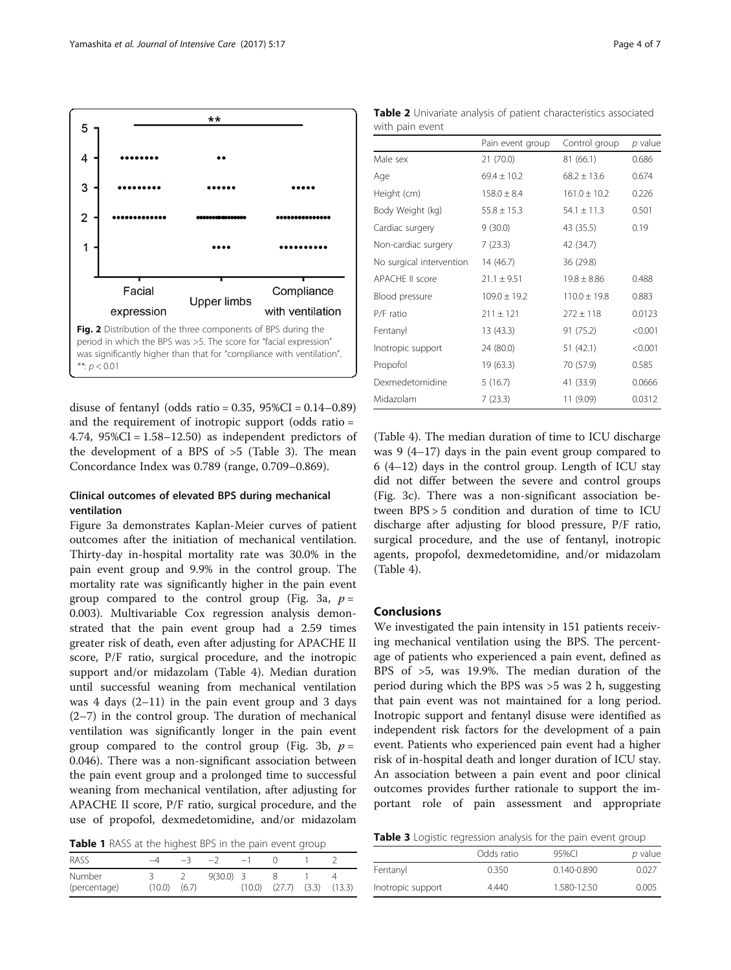<span id="page-3-0"></span>

disuse of fentanyl (odds ratio =  $0.35$ ,  $95\%CI = 0.14 - 0.89$ ) and the requirement of inotropic support (odds ratio = 4.74,  $95\%CI = 1.58 - 12.50$  as independent predictors of the development of a BPS of  $>5$  (Table 3). The mean Concordance Index was 0.789 (range, 0.709–0.869).

# Clinical outcomes of elevated BPS during mechanical ventilation

Figure [3a](#page-4-0) demonstrates Kaplan-Meier curves of patient outcomes after the initiation of mechanical ventilation. Thirty-day in-hospital mortality rate was 30.0% in the pain event group and 9.9% in the control group. The mortality rate was significantly higher in the pain event group compared to the control group (Fig. [3a](#page-4-0),  $p =$ 0.003). Multivariable Cox regression analysis demonstrated that the pain event group had a 2.59 times greater risk of death, even after adjusting for APACHE II score, P/F ratio, surgical procedure, and the inotropic support and/or midazolam (Table [4\)](#page-4-0). Median duration until successful weaning from mechanical ventilation was  $4$  days  $(2-11)$  in the pain event group and  $3$  days (2–7) in the control group. The duration of mechanical ventilation was significantly longer in the pain event group compared to the control group (Fig. [3b](#page-4-0),  $p =$ 0.046). There was a non-significant association between the pain event group and a prolonged time to successful weaning from mechanical ventilation, after adjusting for APACHE II score, P/F ratio, surgical procedure, and the use of propofol, dexmedetomidine, and/or midazolam

Table 1 RASS at the highest BPS in the pain event group

| RASS                   |        | $-3$  | $-2$        | $-1$   |                           |  |
|------------------------|--------|-------|-------------|--------|---------------------------|--|
| Number<br>(percentage) | (10.0) | (6.7) | $9(30.0)$ 3 | (10.0) | $(27.7)$ $(3.3)$ $(13.3)$ |  |

|                          | Pain event group | Control group    | p value |
|--------------------------|------------------|------------------|---------|
| Male sex                 | 21 (70.0)        | 81 (66.1)        | 0.686   |
| Age                      | $69.4 \pm 10.2$  | $68.2 \pm 13.6$  | 0.674   |
| Height (cm)              | $158.0 \pm 8.4$  | $161.0 \pm 10.2$ | 0.226   |
| Body Weight (kg)         | $55.8 \pm 15.3$  | $54.1 \pm 11.3$  | 0.501   |
| Cardiac surgery          | 9(30.0)          | 43 (35.5)        | 0.19    |
| Non-cardiac surgery      | 7(23.3)          | 42 (34.7)        |         |
| No surgical intervention | 14(46.7)         | 36 (29.8)        |         |
| APACHE II score          | $21.1 \pm 9.51$  | $19.8 \pm 8.86$  | 0.488   |
| Blood pressure           | $109.0 \pm 19.2$ | $110.0 \pm 19.8$ | 0.883   |
| P/F ratio                | $211 \pm 121$    | $272 \pm 118$    | 0.0123  |
| Fentanyl                 | 13 (43.3)        | 91 (75.2)        | < 0.001 |
| Inotropic support        | 24 (80.0)        | 51 (42.1)        | < 0.001 |
| Propofol                 | 19 (63.3)        | 70 (57.9)        | 0.585   |
| Dexmedetomidine          | 5(16.7)          | 41 (33.9)        | 0.0666  |
| Midazolam                | 7(23.3)          | 11 (9.09)        | 0.0312  |

Table 2 Univariate analysis of patient characteristics associated

(Table [4\)](#page-4-0). The median duration of time to ICU discharge was 9 (4–17) days in the pain event group compared to 6 (4–12) days in the control group. Length of ICU stay did not differ between the severe and control groups (Fig. [3c](#page-4-0)). There was a non-significant association between BPS > 5 condition and duration of time to ICU discharge after adjusting for blood pressure, P/F ratio, surgical procedure, and the use of fentanyl, inotropic agents, propofol, dexmedetomidine, and/or midazolam (Table [4\)](#page-4-0).

# Conclusions

with pain event

We investigated the pain intensity in 151 patients receiving mechanical ventilation using the BPS. The percentage of patients who experienced a pain event, defined as BPS of >5, was 19.9%. The median duration of the period during which the BPS was >5 was 2 h, suggesting that pain event was not maintained for a long period. Inotropic support and fentanyl disuse were identified as independent risk factors for the development of a pain event. Patients who experienced pain event had a higher risk of in-hospital death and longer duration of ICU stay. An association between a pain event and poor clinical outcomes provides further rationale to support the important role of pain assessment and appropriate

|  |  |  |  |  | <b>Table 3</b> Logistic regression analysis for the pain event group |
|--|--|--|--|--|----------------------------------------------------------------------|
|--|--|--|--|--|----------------------------------------------------------------------|

|                   | Odds ratio | 95%CI           | p value |
|-------------------|------------|-----------------|---------|
| Fentanyl          | 0.350      | $0.140 - 0.890$ | 0027    |
| Inotropic support | 4.440      | 1.580-12.50     | 0.005   |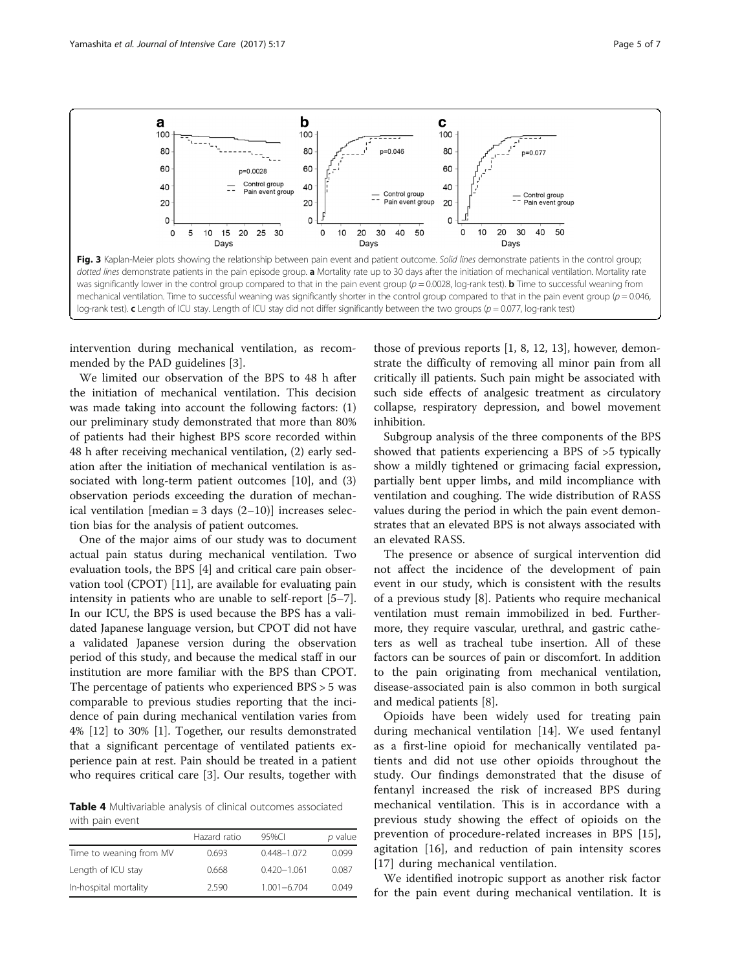<span id="page-4-0"></span>

intervention during mechanical ventilation, as recommended by the PAD guidelines [[3\]](#page-5-0).

We limited our observation of the BPS to 48 h after the initiation of mechanical ventilation. This decision was made taking into account the following factors: (1) our preliminary study demonstrated that more than 80% of patients had their highest BPS score recorded within 48 h after receiving mechanical ventilation, (2) early sedation after the initiation of mechanical ventilation is associated with long-term patient outcomes [[10](#page-5-0)], and (3) observation periods exceeding the duration of mechanical ventilation  $[median = 3$  days  $(2-10)$ ] increases selection bias for the analysis of patient outcomes.

One of the major aims of our study was to document actual pain status during mechanical ventilation. Two evaluation tools, the BPS [[4\]](#page-5-0) and critical care pain observation tool (CPOT) [[11](#page-5-0)], are available for evaluating pain intensity in patients who are unable to self-report [\[5](#page-5-0)–[7](#page-5-0)]. In our ICU, the BPS is used because the BPS has a validated Japanese language version, but CPOT did not have a validated Japanese version during the observation period of this study, and because the medical staff in our institution are more familiar with the BPS than CPOT. The percentage of patients who experienced BPS > 5 was comparable to previous studies reporting that the incidence of pain during mechanical ventilation varies from 4% [[12](#page-6-0)] to 30% [[1\]](#page-5-0). Together, our results demonstrated that a significant percentage of ventilated patients experience pain at rest. Pain should be treated in a patient who requires critical care [[3\]](#page-5-0). Our results, together with

Table 4 Multivariable analysis of clinical outcomes associated with pain event

|                         | Hazard ratio | 95%CI           | p value |
|-------------------------|--------------|-----------------|---------|
| Time to weaning from MV | 0.693        | $0.448 - 1.072$ | 0.099   |
| Length of ICU stay      | 0.668        | $0.420 - 1.061$ | 0.087   |
| In-hospital mortality   | 2.590        | $1.001 - 6.704$ | 0.049   |
|                         |              |                 |         |

those of previous reports [[1, 8](#page-5-0), [12](#page-6-0), [13](#page-6-0)], however, demonstrate the difficulty of removing all minor pain from all critically ill patients. Such pain might be associated with such side effects of analgesic treatment as circulatory collapse, respiratory depression, and bowel movement inhibition.

Subgroup analysis of the three components of the BPS showed that patients experiencing a BPS of >5 typically show a mildly tightened or grimacing facial expression, partially bent upper limbs, and mild incompliance with ventilation and coughing. The wide distribution of RASS values during the period in which the pain event demonstrates that an elevated BPS is not always associated with an elevated RASS.

The presence or absence of surgical intervention did not affect the incidence of the development of pain event in our study, which is consistent with the results of a previous study [[8\]](#page-5-0). Patients who require mechanical ventilation must remain immobilized in bed. Furthermore, they require vascular, urethral, and gastric catheters as well as tracheal tube insertion. All of these factors can be sources of pain or discomfort. In addition to the pain originating from mechanical ventilation, disease-associated pain is also common in both surgical and medical patients [[8\]](#page-5-0).

Opioids have been widely used for treating pain during mechanical ventilation [\[14](#page-6-0)]. We used fentanyl as a first-line opioid for mechanically ventilated patients and did not use other opioids throughout the study. Our findings demonstrated that the disuse of fentanyl increased the risk of increased BPS during mechanical ventilation. This is in accordance with a previous study showing the effect of opioids on the prevention of procedure-related increases in BPS [\[15](#page-6-0)], agitation [\[16](#page-6-0)], and reduction of pain intensity scores [[17\]](#page-6-0) during mechanical ventilation.

We identified inotropic support as another risk factor for the pain event during mechanical ventilation. It is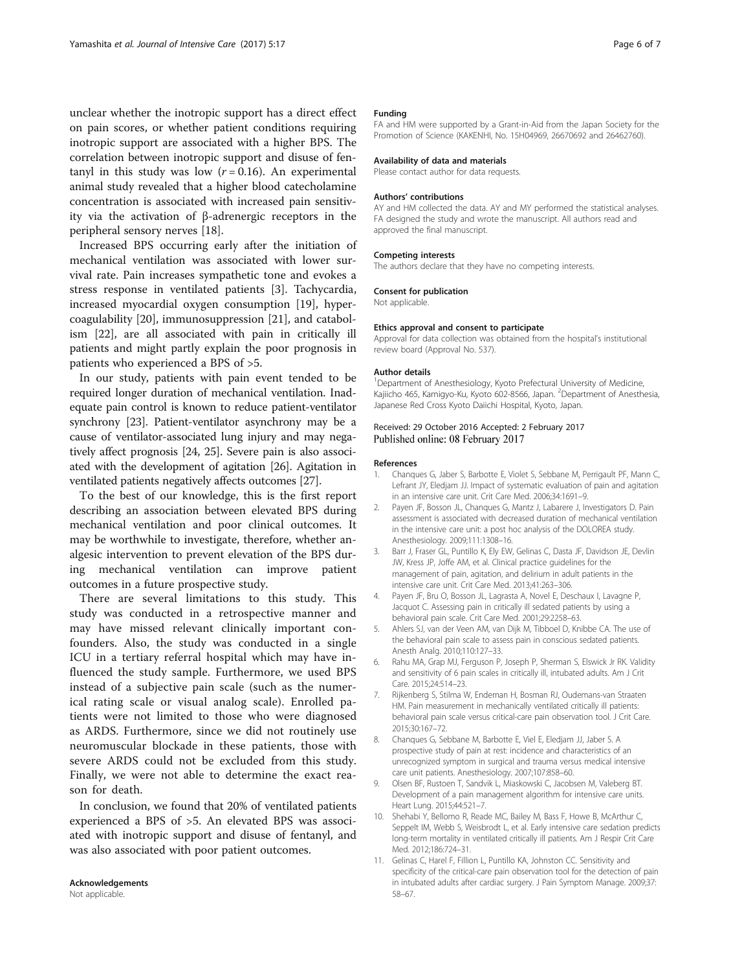<span id="page-5-0"></span>unclear whether the inotropic support has a direct effect on pain scores, or whether patient conditions requiring inotropic support are associated with a higher BPS. The correlation between inotropic support and disuse of fentanyl in this study was low  $(r = 0.16)$ . An experimental animal study revealed that a higher blood catecholamine concentration is associated with increased pain sensitivity via the activation of β-adrenergic receptors in the peripheral sensory nerves [\[18](#page-6-0)].

Increased BPS occurring early after the initiation of mechanical ventilation was associated with lower survival rate. Pain increases sympathetic tone and evokes a stress response in ventilated patients [3]. Tachycardia, increased myocardial oxygen consumption [\[19](#page-6-0)], hypercoagulability [\[20\]](#page-6-0), immunosuppression [[21](#page-6-0)], and catabolism [\[22\]](#page-6-0), are all associated with pain in critically ill patients and might partly explain the poor prognosis in patients who experienced a BPS of >5.

In our study, patients with pain event tended to be required longer duration of mechanical ventilation. Inadequate pain control is known to reduce patient-ventilator synchrony [[23](#page-6-0)]. Patient-ventilator asynchrony may be a cause of ventilator-associated lung injury and may negatively affect prognosis [\[24](#page-6-0), [25](#page-6-0)]. Severe pain is also associated with the development of agitation [\[26\]](#page-6-0). Agitation in ventilated patients negatively affects outcomes [\[27\]](#page-6-0).

To the best of our knowledge, this is the first report describing an association between elevated BPS during mechanical ventilation and poor clinical outcomes. It may be worthwhile to investigate, therefore, whether analgesic intervention to prevent elevation of the BPS during mechanical ventilation can improve patient outcomes in a future prospective study.

There are several limitations to this study. This study was conducted in a retrospective manner and may have missed relevant clinically important confounders. Also, the study was conducted in a single ICU in a tertiary referral hospital which may have influenced the study sample. Furthermore, we used BPS instead of a subjective pain scale (such as the numerical rating scale or visual analog scale). Enrolled patients were not limited to those who were diagnosed as ARDS. Furthermore, since we did not routinely use neuromuscular blockade in these patients, those with severe ARDS could not be excluded from this study. Finally, we were not able to determine the exact reason for death.

In conclusion, we found that 20% of ventilated patients experienced a BPS of >5. An elevated BPS was associated with inotropic support and disuse of fentanyl, and was also associated with poor patient outcomes.

#### Acknowledgements Not applicable.

#### Funding

FA and HM were supported by a Grant-in-Aid from the Japan Society for the Promotion of Science (KAKENHI, No. 15H04969, 26670692 and 26462760).

#### Availability of data and materials

Please contact author for data requests.

#### Authors' contributions

AY and HM collected the data. AY and MY performed the statistical analyses. FA designed the study and wrote the manuscript. All authors read and approved the final manuscript.

#### Competing interests

The authors declare that they have no competing interests.

#### Consent for publication

Not applicable.

#### Ethics approval and consent to participate

Approval for data collection was obtained from the hospital's institutional review board (Approval No. 537).

#### Author details

<sup>1</sup>Department of Anesthesiology, Kyoto Prefectural University of Medicine, Kajiicho 465, Kamigyo-Ku, Kyoto 602-8566, Japan. <sup>2</sup>Department of Anesthesia, Japanese Red Cross Kyoto Daiichi Hospital, Kyoto, Japan.

#### Received: 29 October 2016 Accepted: 2 February 2017 Published online: 08 February 2017

#### References

- 1. Chanques G, Jaber S, Barbotte E, Violet S, Sebbane M, Perrigault PF, Mann C, Lefrant JY, Eledjam JJ. Impact of systematic evaluation of pain and agitation in an intensive care unit. Crit Care Med. 2006;34:1691–9.
- 2. Payen JF, Bosson JL, Chanques G, Mantz J, Labarere J, Investigators D. Pain assessment is associated with decreased duration of mechanical ventilation in the intensive care unit: a post hoc analysis of the DOLOREA study. Anesthesiology. 2009;111:1308–16.
- 3. Barr J, Fraser GL, Puntillo K, Ely EW, Gelinas C, Dasta JF, Davidson JE, Devlin JW, Kress JP, Joffe AM, et al. Clinical practice guidelines for the management of pain, agitation, and delirium in adult patients in the intensive care unit. Crit Care Med. 2013;41:263–306.
- 4. Payen JF, Bru O, Bosson JL, Lagrasta A, Novel E, Deschaux I, Lavagne P, Jacquot C. Assessing pain in critically ill sedated patients by using a behavioral pain scale. Crit Care Med. 2001;29:2258–63.
- 5. Ahlers SJ, van der Veen AM, van Dijk M, Tibboel D, Knibbe CA. The use of the behavioral pain scale to assess pain in conscious sedated patients. Anesth Analg. 2010;110:127–33.
- 6. Rahu MA, Grap MJ, Ferguson P, Joseph P, Sherman S, Elswick Jr RK. Validity and sensitivity of 6 pain scales in critically ill, intubated adults. Am J Crit Care. 2015;24:514–23.
- 7. Rijkenberg S, Stilma W, Endeman H, Bosman RJ, Oudemans-van Straaten HM. Pain measurement in mechanically ventilated critically ill patients: behavioral pain scale versus critical-care pain observation tool. J Crit Care. 2015;30:167–72.
- 8. Chanques G, Sebbane M, Barbotte E, Viel E, Eledjam JJ, Jaber S. A prospective study of pain at rest: incidence and characteristics of an unrecognized symptom in surgical and trauma versus medical intensive care unit patients. Anesthesiology. 2007;107:858–60.
- 9. Olsen BF, Rustoen T, Sandvik L, Miaskowski C, Jacobsen M, Valeberg BT. Development of a pain management algorithm for intensive care units. Heart Lung. 2015;44:521–7.
- 10. Shehabi Y, Bellomo R, Reade MC, Bailey M, Bass F, Howe B, McArthur C, Seppelt IM, Webb S, Weisbrodt L, et al. Early intensive care sedation predicts long-term mortality in ventilated critically ill patients. Am J Respir Crit Care Med. 2012;186:724–31.
- 11. Gelinas C, Harel F, Fillion L, Puntillo KA, Johnston CC. Sensitivity and specificity of the critical-care pain observation tool for the detection of pain in intubated adults after cardiac surgery. J Pain Symptom Manage. 2009;37: 58–67.